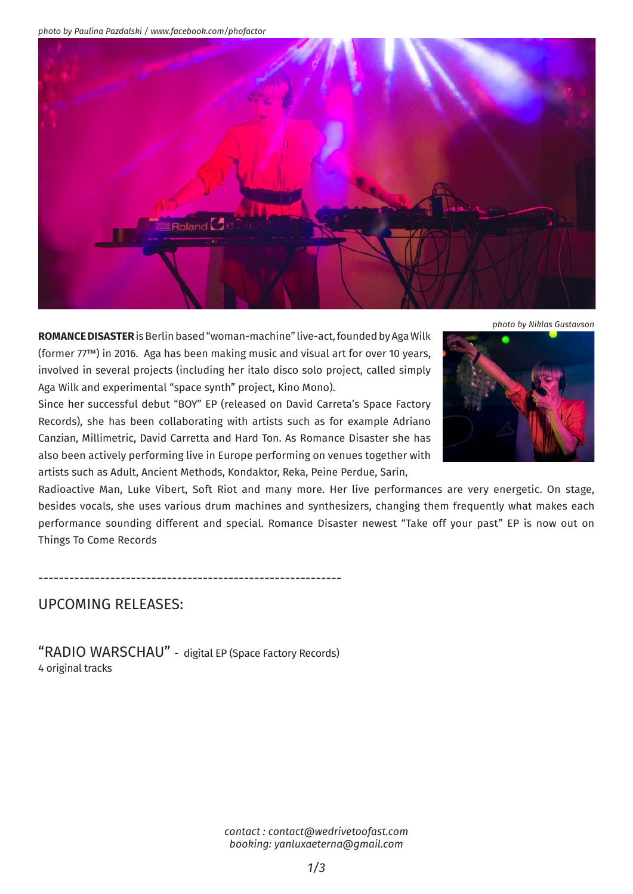*photo by Paulina Pazdalski / www.facebook.com/phofactor*



*photo by Niklas Gustavson*

**Romance Disaster** is Berlin based "woman-machine" live-act, founded by Aga Wilk (former 77™) in 2016. Aga has been making music and visual art for over 10 years, involved in several projects (including her italo disco solo project, called simply Aga Wilk and experimental "space synth" project, Kino Mono).

Since her successful debut "BOY" EP (released on David Carreta's Space Factory Records), she has been collaborating with artists such as for example Adriano Canzian, Millimetric, David Carretta and Hard Ton. As Romance Disaster she has also been actively performing live in Europe performing on venues together with artists such as Adult, Ancient Methods, Kondaktor, Reka, Peine Perdue, Sarin,



Radioactive Man, Luke Vibert, Soft Riot and many more. Her live performances are very energetic. On stage, besides vocals, she uses various drum machines and synthesizers, changing them frequently what makes each performance sounding different and special. Romance Disaster newest "Take off your past" EP is now out on Things To Come Records

-----------------------------------------------------------

## UPCOMING RELEASES:

"RADIO WARSCHAU" - digital EP (Space Factory Records) 4 original tracks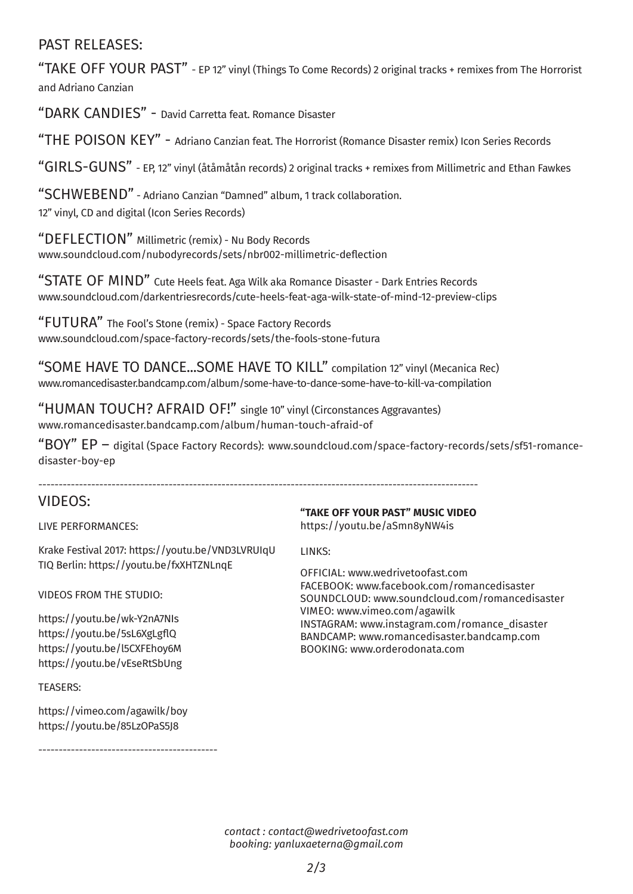## PAST RELEASES:

"TAKE OFF YOUR PAST" - EP 12" vinyl (Things To Come Records) 2 original tracks + remixes from The Horrorist and Adriano Canzian

"DARK CANDIES" - David Carretta feat. Romance Disaster

"THE POISON KEY" - Adriano Canzian feat. The Horrorist (Romance Disaster remix) Icon Series Records

"GIRLS-GUNS" - EP, 12" vinyl (åtåmåtån records) 2 original tracks + remixes from Millimetric and Ethan Fawkes

"SCHWEBEND" - Adriano Canzian "Damned" album, 1 track collaboration. 12" vinyl, CD and digital (Icon Series Records)

"DEFLECTION" Millimetric (remix) - Nu Body Records www.soundcloud.com/nubodyrecords/sets/nbr002-millimetric-deflection

"STATE OF MIND" Cute Heels feat. Aga Wilk aka Romance Disaster - Dark Entries Records www.soundcloud.com/darkentriesrecords/cute-heels-feat-aga-wilk-state-of-mind-12-preview-clips

"FUTURA" The Fool's Stone (remix) - Space Factory Records www.soundcloud.com/space-factory-records/sets/the-fools-stone-futura

"Some have to dance...some have to kill" compilation 12" vinyl (Mecanica Rec) www.romancedisaster.bandcamp.com/album/some-have-to-dance-some-have-to-kill-va-compilation

"HUMAN TOUCH? AFRAID OF!" single 10" vinyl (Circonstances Aggravantes) www.romancedisaster.bandcamp.com/album/human-touch-afraid-of

------------------------------------------------------------------------------------------------------------

"BOY" EP – digital (Space Factory Records): www.soundcloud.com/space-factory-records/sets/sf51-romancedisaster-boy-ep

## VIDEOS:

Live performances:

Krake Festival 2017: https://youtu.be/VND3LVRUIqU TIQ Berlin: https://youtu.be/fxXHTZNLnqE

Videos From the studio:

https://youtu.be/wk-Y2nA7NIs https://youtu.be/5sL6XgLgflQ https://youtu.be/l5CXFEhoy6M https://youtu.be/vEseRtSbUng

TEASERS:

https://vimeo.com/agawilk/boy https://youtu.be/85LzOPaS5J8

--------------------------------------------

**"Take off your past" music video** 

https://youtu.be/aSmn8yNW4is

LINKS:

Official: www.wedrivetoofast.com Facebook: www.facebook.com/romancedisaster Soundcloud: www.soundcloud.com/romancedisaster Vimeo: www.vimeo.com/agawilk INSTAGRAM: www.instagram.com/romance\_disaster BANDCAMP: www.romancedisaster.bandcamp.com BOOKING: www.orderodonata.com

*contact : contact@wedrivetoofast.com booking: yanluxaeterna@gmail.com*